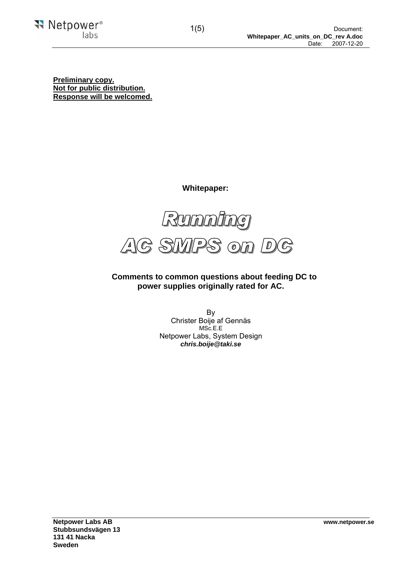**Preliminary copy. Not for public distribution. Response will be welcomed.** 

 **Whitepaper:** 



 **Comments to common questions about feeding DC to power supplies originally rated for AC.**

> By Christer Boije af Gennäs MSc.E.E Netpower Labs, System Design *chris.boije@taki.se*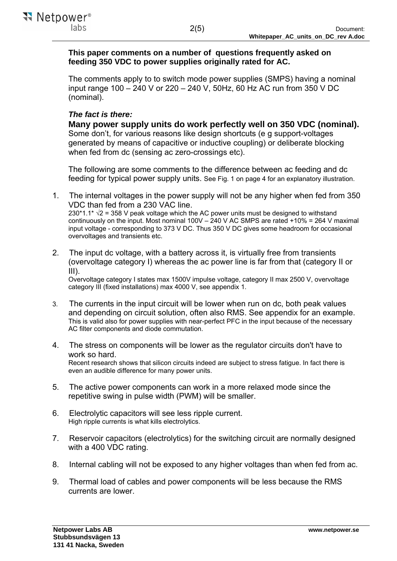# **This paper comments on a number of questions frequently asked on feeding 350 VDC to power supplies originally rated for AC.**

The comments apply to to switch mode power supplies (SMPS) having a nominal input range 100 – 240 V or 220 – 240 V, 50Hz, 60 Hz AC run from 350 V DC (nominal).

# *The fact is there:*

**Many power supply units do work perfectly well on 350 VDC (nominal).** Some don't, for various reasons like design shortcuts (e g support-voltages generated by means of capacitive or inductive coupling) or deliberate blocking when fed from dc (sensing ac zero-crossings etc).

The following are some comments to the difference between ac feeding and dc feeding for typical power supply units. See Fig. 1 on page 4 for an explanatory illustration.

- 1. The internal voltages in the power supply will not be any higher when fed from 350 VDC than fed from a 230 VAC line. 230\*1.1\*  $\sqrt{2}$  = 358 V peak voltage which the AC power units must be designed to withstand continuously on the input. Most nominal 100V – 240 V AC SMPS are rated +10% = 264 V maximal input voltage - corresponding to 373 V DC. Thus 350 V DC gives some headroom for occasional overvoltages and transients etc.
- 2. The input dc voltage, with a battery across it, is virtually free from transients (overvoltage category I) whereas the ac power line is far from that (category II or III).

Overvoltage category I states max 1500V impulse voltage, category II max 2500 V, overvoltage category III (fixed installations) max 4000 V, see appendix 1.

- 3. The currents in the input circuit will be lower when run on dc, both peak values and depending on circuit solution, often also RMS. See appendix for an example. This is valid also for power supplies with near-perfect PFC in the input because of the necessary AC filter components and diode commutation.
- 4. The stress on components will be lower as the regulator circuits don't have to work so hard. Recent research shows that silicon circuits indeed are subject to stress fatigue. In fact there is even an audible difference for many power units.
- 5. The active power components can work in a more relaxed mode since the repetitive swing in pulse width (PWM) will be smaller.
- 6. Electrolytic capacitors will see less ripple current. High ripple currents is what kills electrolytics.
- 7. Reservoir capacitors (electrolytics) for the switching circuit are normally designed with a 400 VDC rating.
- 8. Internal cabling will not be exposed to any higher voltages than when fed from ac.
- 9. Thermal load of cables and power components will be less because the RMS currents are lower.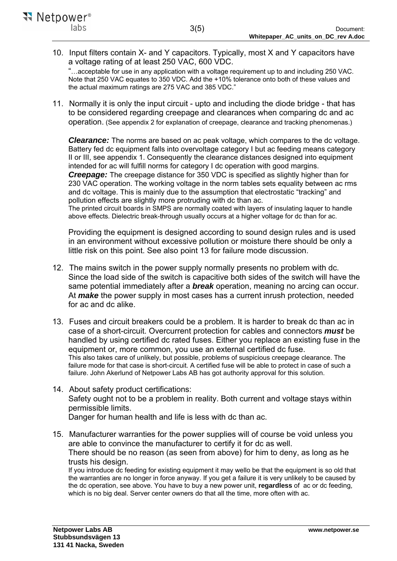10. Input filters contain X- and Y capacitors. Typically, most X and Y capacitors have a voltage rating of at least 250 VAC, 600 VDC.

"…acceptable for use in any application with a voltage requirement up to and including 250 VAC. Note that 250 VAC equates to 350 VDC. Add the +10% tolerance onto both of these values and the actual maximum ratings are 275 VAC and 385 VDC."

11. Normally it is only the input circuit - upto and including the diode bridge - that has to be considered regarding creepage and clearances when comparing dc and ac operation. (See appendix 2 for explanation of creepage, clearance and tracking phenomenas.)

*Clearance:* The norms are based on ac peak voltage, which compares to the dc voltage. Battery fed dc equipment falls into overvoltage category I but ac feeding means category II or III, see appendix 1. Consequently the clearance distances designed into equipment intended for ac will fulfill norms for category I dc operation with good margins.

*Creepage:* The creepage distance for 350 VDC is specified as slightly higher than for 230 VAC operation. The working voltage in the norm tables sets equality between ac rms and dc voltage. This is mainly due to the assumption that electrostatic "tracking" and pollution effects are slightly more protruding with dc than ac.

The printed circuit boards in SMPS are normally coated with layers of insulating laquer to handle above effects. Dielectric break-through usually occurs at a higher voltage for dc than for ac.

Providing the equipment is designed according to sound design rules and is used in an environment without excessive pollution or moisture there should be only a little risk on this point. See also point 13 for failure mode discussion.

- 12. The mains switch in the power supply normally presents no problem with dc. Since the load side of the switch is capacitive both sides of the switch will have the same potential immediately after a *break* operation, meaning no arcing can occur. At *make* the power supply in most cases has a current inrush protection, needed for ac and dc alike.
- 13. Fuses and circuit breakers could be a problem. It is harder to break dc than ac in case of a short-circuit. Overcurrent protection for cables and connectors *must* be handled by using certified dc rated fuses. Either you replace an existing fuse in the equipment or, more common, you use an external certified dc fuse. This also takes care of unlikely, but possible, problems of suspicious creepage clearance. The failure mode for that case is short-circuit. A certified fuse will be able to protect in case of such a failure. John Akerlund of Netpower Labs AB has got authority approval for this solution.
- 14. About safety product certifications: Safety ought not to be a problem in reality. Both current and voltage stays within permissible limits. Danger for human health and life is less with dc than ac.
- 15. Manufacturer warranties for the power supplies will of course be void unless you are able to convince the manufacturer to certify it for dc as well. There should be no reason (as seen from above) for him to deny, as long as he trusts his design.

If you introduce dc feeding for existing equipment it may wello be that the equipment is so old that the warranties are no longer in force anyway. If you get a failure it is very unlikely to be caused by the dc operation, see above. You have to buy a new power unit, **regardless** of ac or dc feeding, which is no big deal. Server center owners do that all the time, more often with ac.

₹₹ Netpower<sup>®</sup>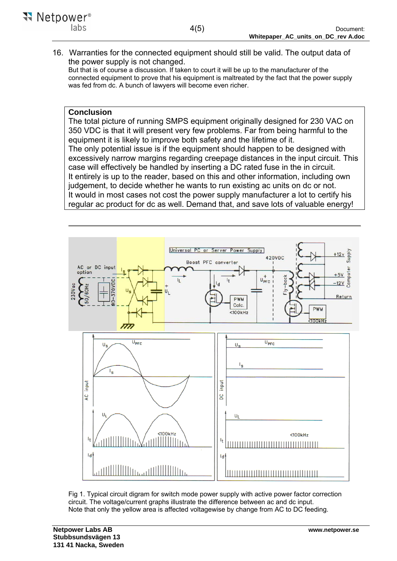16. Warranties for the connected equipment should still be valid. The output data of the power supply is not changed.

But that is of course a discussion. If taken to court it will be up to the manufacturer of the connected equipment to prove that his equipment is maltreated by the fact that the power supply was fed from dc. A bunch of lawyers will become even richer.

# **Conclusion**

The total picture of running SMPS equipment originally designed for 230 VAC on 350 VDC is that it will present very few problems. Far from being harmful to the equipment it is likely to improve both safety and the lifetime of it. The only potential issue is if the equipment should happen to be designed with excessively narrow margins regarding creepage distances in the input circuit. This case will effectively be handled by inserting a DC rated fuse in the in circuit. It entirely is up to the reader, based on this and other information, including own judgement, to decide whether he wants to run existing ac units on dc or not. It would in most cases not cost the power supply manufacturer a lot to certify his regular ac product for dc as well. Demand that, and save lots of valuable energy!



Fig 1. Typical circuit digram for switch mode power supply with active power factor correction circuit. The voltage/current graphs illustrate the difference between ac and dc input. Note that only the yellow area is affected voltagewise by change from AC to DC feeding.